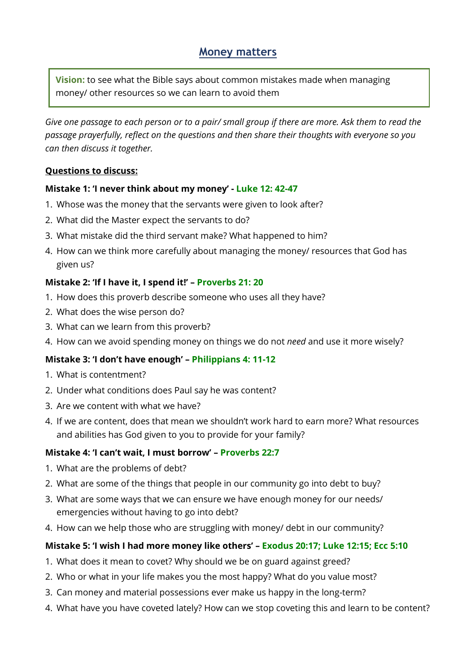# **Money matters**

**Vision:** to see what the Bible says about common mistakes made when managing money/ other resources so we can learn to avoid them

*Give one passage to each person or to a pair/ small group if there are more. Ask them to read the passage prayerfully, reflect on the questions and then share their thoughts with everyone so you can then discuss it together.*

#### **Questions to discuss:**

#### **Mistake 1: 'I never think about my money' - Luke 12: 42-47**

- 1. Whose was the money that the servants were given to look after?
- 2. What did the Master expect the servants to do?
- 3. What mistake did the third servant make? What happened to him?
- 4. How can we think more carefully about managing the money/ resources that God has given us?

#### **Mistake 2: 'If I have it, I spend it!' – Proverbs 21: 20**

- 1. How does this proverb describe someone who uses all they have?
- 2. What does the wise person do?
- 3. What can we learn from this proverb?
- 4. How can we avoid spending money on things we do not *need* and use it more wisely?

## **Mistake 3: 'I don't have enough' – Philippians 4: 11-12**

- 1. What is contentment?
- 2. Under what conditions does Paul say he was content?
- 3. Are we content with what we have?
- 4. If we are content, does that mean we shouldn't work hard to earn more? What resources and abilities has God given to you to provide for your family?

## **Mistake 4: 'I can't wait, I must borrow' – Proverbs 22:7**

- 1. What are the problems of debt?
- 2. What are some of the things that people in our community go into debt to buy?
- 3. What are some ways that we can ensure we have enough money for our needs/ emergencies without having to go into debt?
- 4. How can we help those who are struggling with money/ debt in our community?

## **Mistake 5: 'I wish I had more money like others' – Exodus 20:17; Luke 12:15; Ecc 5:10**

- 1. What does it mean to covet? Why should we be on guard against greed?
- 2. Who or what in your life makes you the most happy? What do you value most?
- 3. Can money and material possessions ever make us happy in the long-term?
- 4. What have you have coveted lately? How can we stop coveting this and learn to be content?